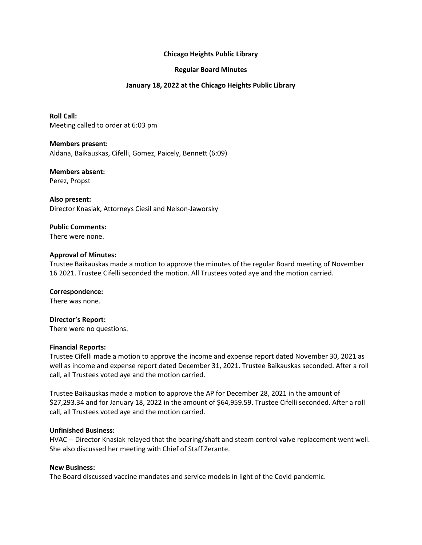# **Chicago Heights Public Library**

# **Regular Board Minutes**

## **January 18, 2022 at the Chicago Heights Public Library**

**Roll Call:** Meeting called to order at 6:03 pm

**Members present:** Aldana, Baikauskas, Cifelli, Gomez, Paicely, Bennett (6:09)

**Members absent:** Perez, Propst

**Also present:** Director Knasiak, Attorneys Ciesil and Nelson-Jaworsky

**Public Comments:** There were none.

## **Approval of Minutes:**

Trustee Baikauskas made a motion to approve the minutes of the regular Board meeting of November 16 2021. Trustee Cifelli seconded the motion. All Trustees voted aye and the motion carried.

**Correspondence:** There was none.

**Director's Report:**

There were no questions.

#### **Financial Reports:**

Trustee Cifelli made a motion to approve the income and expense report dated November 30, 2021 as well as income and expense report dated December 31, 2021. Trustee Baikauskas seconded. After a roll call, all Trustees voted aye and the motion carried.

Trustee Baikauskas made a motion to approve the AP for December 28, 2021 in the amount of \$27,293.34 and for January 18, 2022 in the amount of \$64,959.59. Trustee Cifelli seconded. After a roll call, all Trustees voted aye and the motion carried.

#### **Unfinished Business:**

HVAC -- Director Knasiak relayed that the bearing/shaft and steam control valve replacement went well. She also discussed her meeting with Chief of Staff Zerante.

#### **New Business:**

The Board discussed vaccine mandates and service models in light of the Covid pandemic.